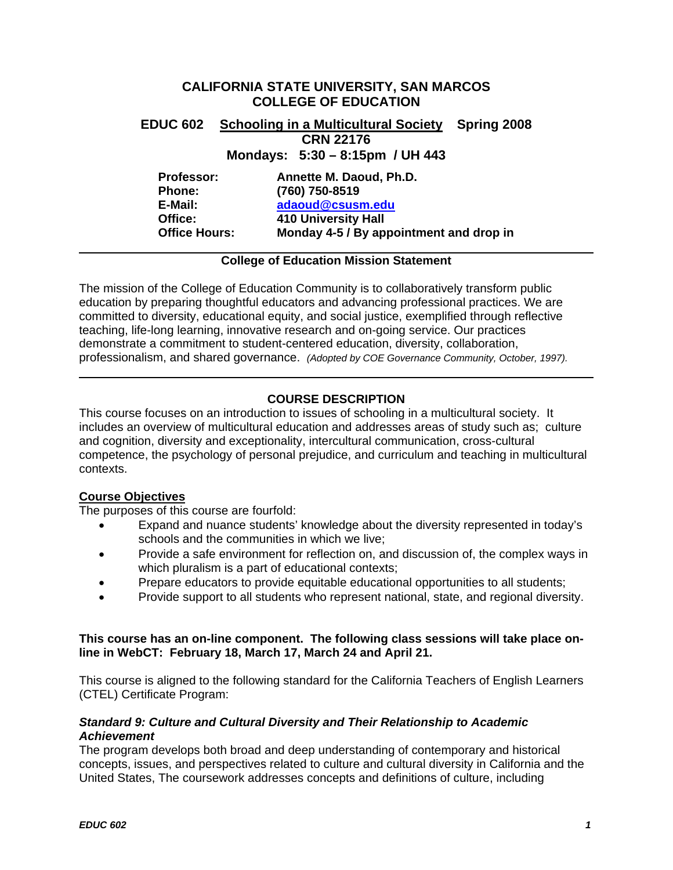# **CALIFORNIA STATE UNIVERSITY, SAN MARCOS COLLEGE OF EDUCATION EDUC 602 Schooling in a Multicultural Society Spring 2008 CRN 22176 Mondays: 5:30 – 8:15pm / UH 443 Professor: Annette M. Daoud, Ph.D. Phone: (760) 750-8519 E-Mail: adaoud@csusm.edu Office: 410 University Hall**

# **Office Hours: Monday 4-5 / By appointment and drop in**

# **College of Education Mission Statement**

The mission of the College of Education Community is to collaboratively transform public education by preparing thoughtful educators and advancing professional practices. We are committed to diversity, educational equity, and social justice, exemplified through reflective teaching, life-long learning, innovative research and on-going service. Our practices demonstrate a commitment to student-centered education, diversity, collaboration, professionalism, and shared governance. *(Adopted by COE Governance Community, October, 1997).* 

# **COURSE DESCRIPTION**

This course focuses on an introduction to issues of schooling in a multicultural society. It includes an overview of multicultural education and addresses areas of study such as; culture and cognition, diversity and exceptionality, intercultural communication, cross-cultural competence, the psychology of personal prejudice, and curriculum and teaching in multicultural contexts.

# **Course Objectives**

The purposes of this course are fourfold:

- Expand and nuance students' knowledge about the diversity represented in today's schools and the communities in which we live;
- Provide a safe environment for reflection on, and discussion of, the complex ways in which pluralism is a part of educational contexts;
- Prepare educators to provide equitable educational opportunities to all students;
- Provide support to all students who represent national, state, and regional diversity.

# **This course has an on-line component. The following class sessions will take place online in WebCT: February 18, March 17, March 24 and April 21.**

This course is aligned to the following standard for the California Teachers of English Learners (CTEL) Certificate Program:

# *Standard 9: Culture and Cultural Diversity and Their Relationship to Academic Achievement*

The program develops both broad and deep understanding of contemporary and historical concepts, issues, and perspectives related to culture and cultural diversity in California and the United States, The coursework addresses concepts and definitions of culture, including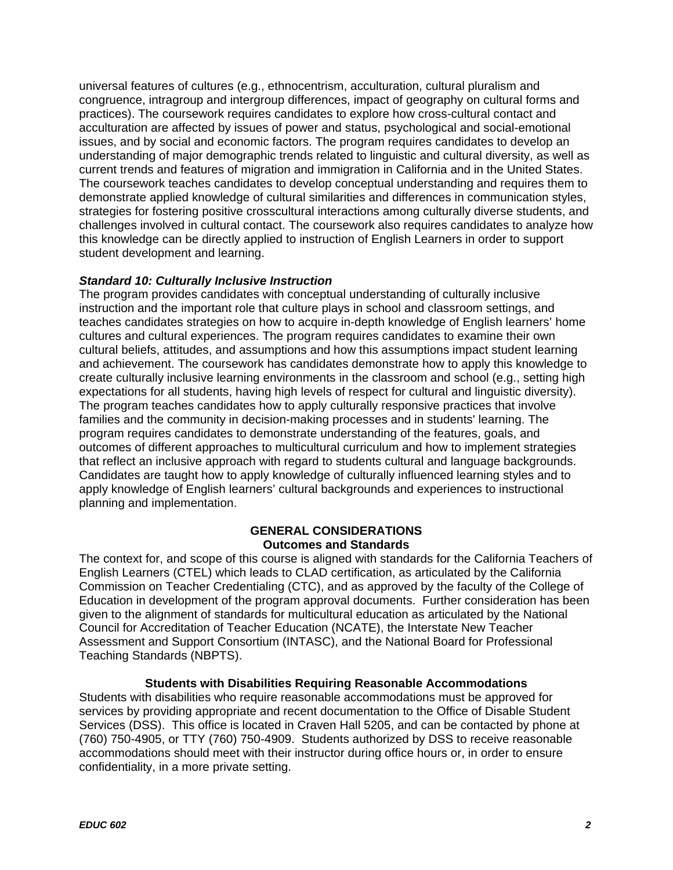universal features of cultures (e.g., ethnocentrism, acculturation, cultural pluralism and congruence, intragroup and intergroup differences, impact of geography on cultural forms and practices). The coursework requires candidates to explore how cross-cultural contact and acculturation are affected by issues of power and status, psychological and social-emotional issues, and by social and economic factors. The program requires candidates to develop an understanding of major demographic trends related to linguistic and cultural diversity, as well as current trends and features of migration and immigration in California and in the United States. The coursework teaches candidates to develop conceptual understanding and requires them to demonstrate applied knowledge of cultural similarities and differences in communication styles, strategies for fostering positive crosscultural interactions among culturally diverse students, and challenges involved in cultural contact. The coursework also requires candidates to analyze how this knowledge can be directly applied to instruction of English Learners in order to support student development and learning.

# *Standard 10: Culturally Inclusive Instruction*

The program provides candidates with conceptual understanding of culturally inclusive instruction and the important role that culture plays in school and classroom settings, and teaches candidates strategies on how to acquire in-depth knowledge of English learners' home cultures and cultural experiences. The program requires candidates to examine their own cultural beliefs, attitudes, and assumptions and how this assumptions impact student learning and achievement. The coursework has candidates demonstrate how to apply this knowledge to create culturally inclusive learning environments in the classroom and school (e.g., setting high expectations for all students, having high levels of respect for cultural and linguistic diversity). The program teaches candidates how to apply culturally responsive practices that involve families and the community in decision-making processes and in students' learning. The program requires candidates to demonstrate understanding of the features, goals, and outcomes of different approaches to multicultural curriculum and how to implement strategies that reflect an inclusive approach with regard to students cultural and language backgrounds. Candidates are taught how to apply knowledge of culturally influenced learning styles and to apply knowledge of English learners' cultural backgrounds and experiences to instructional planning and implementation.

# **GENERAL CONSIDERATIONS Outcomes and Standards**

The context for, and scope of this course is aligned with standards for the California Teachers of English Learners (CTEL) which leads to CLAD certification, as articulated by the California Commission on Teacher Credentialing (CTC), and as approved by the faculty of the College of Education in development of the program approval documents. Further consideration has been given to the alignment of standards for multicultural education as articulated by the National Council for Accreditation of Teacher Education (NCATE), the Interstate New Teacher Assessment and Support Consortium (INTASC), and the National Board for Professional Teaching Standards (NBPTS).

# **Students with Disabilities Requiring Reasonable Accommodations**

Students with disabilities who require reasonable accommodations must be approved for services by providing appropriate and recent documentation to the Office of Disable Student Services (DSS). This office is located in Craven Hall 5205, and can be contacted by phone at (760) 750-4905, or TTY (760) 750-4909. Students authorized by DSS to receive reasonable accommodations should meet with their instructor during office hours or, in order to ensure confidentiality, in a more private setting.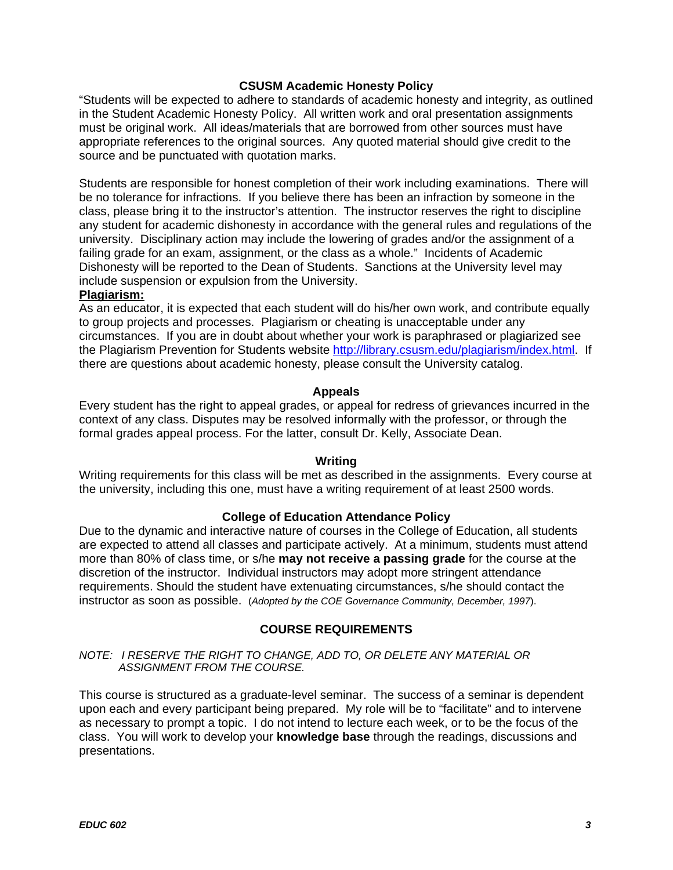# **CSUSM Academic Honesty Policy**

"Students will be expected to adhere to standards of academic honesty and integrity, as outlined in the Student Academic Honesty Policy. All written work and oral presentation assignments must be original work. All ideas/materials that are borrowed from other sources must have appropriate references to the original sources. Any quoted material should give credit to the source and be punctuated with quotation marks.

Students are responsible for honest completion of their work including examinations. There will be no tolerance for infractions. If you believe there has been an infraction by someone in the class, please bring it to the instructor's attention. The instructor reserves the right to discipline any student for academic dishonesty in accordance with the general rules and regulations of the university. Disciplinary action may include the lowering of grades and/or the assignment of a failing grade for an exam, assignment, or the class as a whole." Incidents of Academic Dishonesty will be reported to the Dean of Students. Sanctions at the University level may include suspension or expulsion from the University.

# **Plagiarism:**

As an educator, it is expected that each student will do his/her own work, and contribute equally to group projects and processes. Plagiarism or cheating is unacceptable under any circumstances. If you are in doubt about whether your work is paraphrased or plagiarized see the Plagiarism Prevention for Students website http://library.csusm.edu/plagiarism/index.html. If there are questions about academic honesty, please consult the University catalog.

# **Appeals**

Every student has the right to appeal grades, or appeal for redress of grievances incurred in the context of any class. Disputes may be resolved informally with the professor, or through the formal grades appeal process. For the latter, consult Dr. Kelly, Associate Dean.

#### **Writing**

Writing requirements for this class will be met as described in the assignments. Every course at the university, including this one, must have a writing requirement of at least 2500 words.

# **College of Education Attendance Policy**

Due to the dynamic and interactive nature of courses in the College of Education, all students are expected to attend all classes and participate actively. At a minimum, students must attend more than 80% of class time, or s/he **may not receive a passing grade** for the course at the discretion of the instructor. Individual instructors may adopt more stringent attendance requirements. Should the student have extenuating circumstances, s/he should contact the instructor as soon as possible. (*Adopted by the COE Governance Community, December, 1997*).

### **COURSE REQUIREMENTS**

## *NOTE: I RESERVE THE RIGHT TO CHANGE, ADD TO, OR DELETE ANY MATERIAL OR ASSIGNMENT FROM THE COURSE.*

This course is structured as a graduate-level seminar. The success of a seminar is dependent upon each and every participant being prepared. My role will be to "facilitate" and to intervene as necessary to prompt a topic. I do not intend to lecture each week, or to be the focus of the class. You will work to develop your **knowledge base** through the readings, discussions and presentations.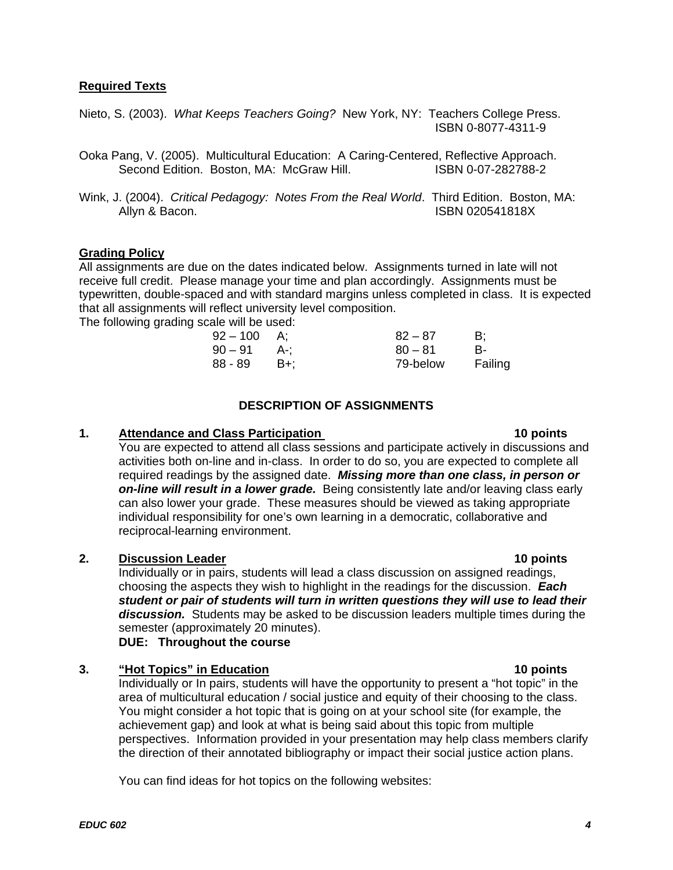# **Required Texts**

Nieto, S. (2003). *What Keeps Teachers Going?* New York, NY: Teachers College Press. ISBN 0-8077-4311-9

Ooka Pang, V. (2005). Multicultural Education: A Caring-Centered, Reflective Approach. Second Edition. Boston, MA: McGraw Hill. **ISBN 0-07-282788-2** 

Wink, J. (2004). *Critical Pedagogy: Notes From the Real World*. Third Edition. Boston, MA: Allyn & Bacon. **ISBN 020541818X** 

# **Grading Policy**

All assignments are due on the dates indicated below. Assignments turned in late will not receive full credit. Please manage your time and plan accordingly. Assignments must be typewritten, double-spaced and with standard margins unless completed in class. It is expected that all assignments will reflect university level composition.

The following grading scale will be used:

| $92 - 100$ | - A:  | $82 - 87$ | - B:    |
|------------|-------|-----------|---------|
| $90-91$    | - A-: | $80 - 81$ | В-      |
| 88 - 89    | – B+: | 79-below  | Failing |

# **DESCRIPTION OF ASSIGNMENTS**

# 1. Attendance and Class Participation **10 10** points

You are expected to attend all class sessions and participate actively in discussions and activities both on-line and in-class. In order to do so, you are expected to complete all required readings by the assigned date. *Missing more than one class, in person or on-line will result in a lower grade.* Being consistently late and/or leaving class early can also lower your grade. These measures should be viewed as taking appropriate individual responsibility for one's own learning in a democratic, collaborative and reciprocal-learning environment.

# **2.** Discussion Leader **10 points 10 points**

Individually or in pairs, students will lead a class discussion on assigned readings, choosing the aspects they wish to highlight in the readings for the discussion. *Each student or pair of students will turn in written questions they will use to lead their discussion.* Students may be asked to be discussion leaders multiple times during the semester (approximately 20 minutes).

**DUE: Throughout the course** 

# **3. "Hot Topics" in Education 10 points**

Individually or In pairs, students will have the opportunity to present a "hot topic" in the area of multicultural education / social justice and equity of their choosing to the class. You might consider a hot topic that is going on at your school site (for example, the achievement gap) and look at what is being said about this topic from multiple perspectives. Information provided in your presentation may help class members clarify the direction of their annotated bibliography or impact their social justice action plans.

You can find ideas for hot topics on the following websites: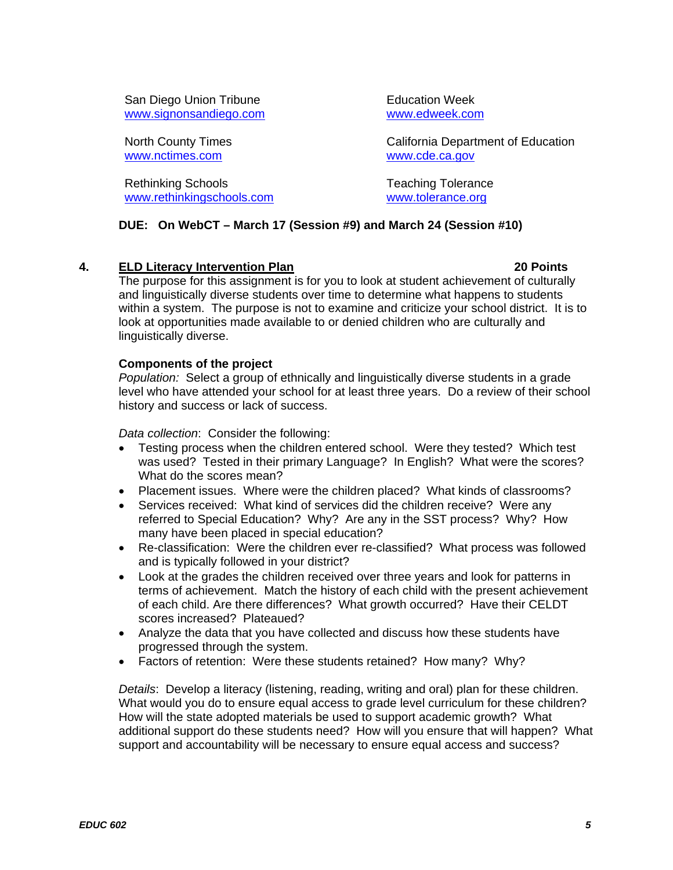San Diego Union Tribune www.signonsandiego.com

North County Times www.nctimes.com

Rethinking Schools www.rethinkingschools.com Education Week www.edweek.com

California Department of Education www.cde.ca.gov

Teaching Tolerance www.tolerance.org

# **DUE: On WebCT – March 17 (Session #9) and March 24 (Session #10)**

# **4. ELD Literacy Intervention Plan 20 Points**

The purpose for this assignment is for you to look at student achievement of culturally and linguistically diverse students over time to determine what happens to students within a system. The purpose is not to examine and criticize your school district. It is to look at opportunities made available to or denied children who are culturally and linguistically diverse.

# **Components of the project**

*Population:* Select a group of ethnically and linguistically diverse students in a grade level who have attended your school for at least three years. Do a review of their school history and success or lack of success.

*Data collection*: Consider the following:

- Testing process when the children entered school. Were they tested? Which test was used? Tested in their primary Language? In English? What were the scores? What do the scores mean?
- Placement issues. Where were the children placed? What kinds of classrooms?
- Services received: What kind of services did the children receive? Were any referred to Special Education? Why? Are any in the SST process? Why? How many have been placed in special education?
- Re-classification: Were the children ever re-classified? What process was followed and is typically followed in your district?
- Look at the grades the children received over three years and look for patterns in terms of achievement. Match the history of each child with the present achievement of each child. Are there differences? What growth occurred? Have their CELDT scores increased? Plateaued?
- Analyze the data that you have collected and discuss how these students have progressed through the system.
- Factors of retention: Were these students retained? How many? Why?

*Details*: Develop a literacy (listening, reading, writing and oral) plan for these children. What would you do to ensure equal access to grade level curriculum for these children? How will the state adopted materials be used to support academic growth? What additional support do these students need? How will you ensure that will happen? What support and accountability will be necessary to ensure equal access and success?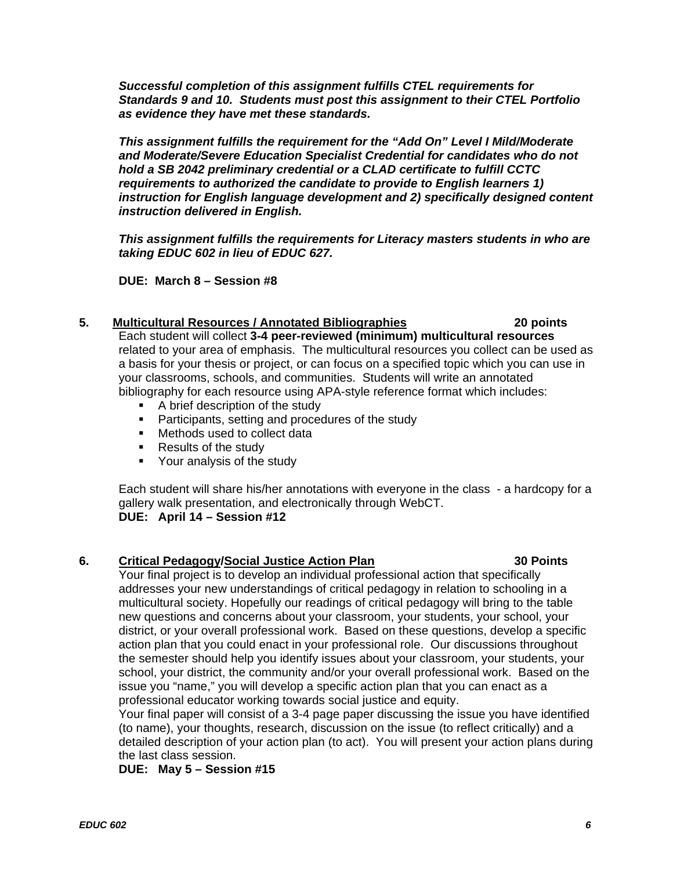*Successful completion of this assignment fulfills CTEL requirements for Standards 9 and 10. Students must post this assignment to their CTEL Portfolio as evidence they have met these standards.* 

*This assignment fulfills the requirement for the "Add On" Level I Mild/Moderate and Moderate/Severe Education Specialist Credential for candidates who do not hold a SB 2042 preliminary credential or a CLAD certificate to fulfill CCTC requirements to authorized the candidate to provide to English learners 1) instruction for English language development and 2) specifically designed content instruction delivered in English.* 

*This assignment fulfills the requirements for Literacy masters students in who are taking EDUC 602 in lieu of EDUC 627.* 

**DUE: March 8 – Session #8** 

# **5. Multicultural Resources / Annotated Bibliographies 20 points**

Each student will collect **3-4 peer-reviewed (minimum) multicultural resources** related to your area of emphasis. The multicultural resources you collect can be used as a basis for your thesis or project, or can focus on a specified topic which you can use in your classrooms, schools, and communities. Students will write an annotated bibliography for each resource using APA-style reference format which includes:

- **A** brief description of the study
- **Participants, setting and procedures of the study**
- **Methods used to collect data**
- Results of the study
- Your analysis of the study

Each student will share his/her annotations with everyone in the class - a hardcopy for a gallery walk presentation, and electronically through WebCT. **DUE: April 14 – Session #12** 

# **6. Critical Pedagogy/Social Justice Action Plan 30 Points**

Your final project is to develop an individual professional action that specifically addresses your new understandings of critical pedagogy in relation to schooling in a multicultural society. Hopefully our readings of critical pedagogy will bring to the table new questions and concerns about your classroom, your students, your school, your district, or your overall professional work. Based on these questions, develop a specific action plan that you could enact in your professional role. Our discussions throughout the semester should help you identify issues about your classroom, your students, your school, your district, the community and/or your overall professional work. Based on the issue you "name," you will develop a specific action plan that you can enact as a professional educator working towards social justice and equity.

Your final paper will consist of a 3-4 page paper discussing the issue you have identified (to name), your thoughts, research, discussion on the issue (to reflect critically) and a detailed description of your action plan (to act). You will present your action plans during the last class session.

**DUE: May 5 – Session #15**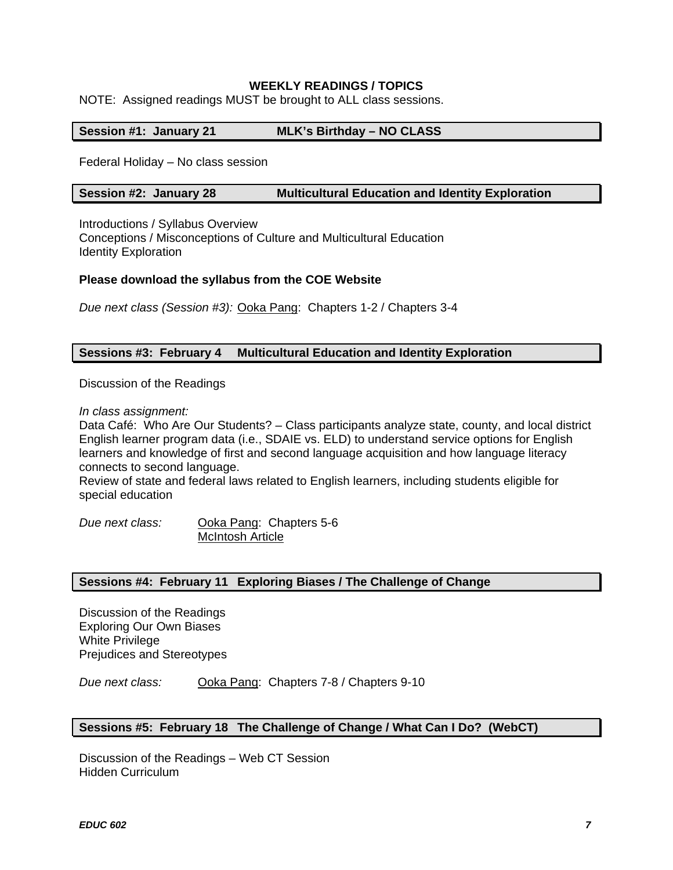# **WEEKLY READINGS / TOPICS**

NOTE: Assigned readings MUST be brought to ALL class sessions.

#### **Session #1: January 21 MLK's Birthday – NO CLASS**

Federal Holiday – No class session

## **Session #2: January 28 Multicultural Education and Identity Exploration**

Introductions / Syllabus Overview Conceptions / Misconceptions of Culture and Multicultural Education Identity Exploration

## **Please download the syllabus from the COE Website**

*Due next class (Session #3):* Ooka Pang: Chapters 1-2 / Chapters 3-4

#### **Sessions #3: February 4 Multicultural Education and Identity Exploration**

Discussion of the Readings

*In class assignment:* 

Data Café: Who Are Our Students? – Class participants analyze state, county, and local district English learner program data (i.e., SDAIE vs. ELD) to understand service options for English learners and knowledge of first and second language acquisition and how language literacy connects to second language.

Review of state and federal laws related to English learners, including students eligible for special education

*Due next class:* Ooka Pang: Chapters 5-6 McIntosh Article

#### **Sessions #4: February 11 Exploring Biases / The Challenge of Change**

Discussion of the Readings Exploring Our Own Biases White Privilege Prejudices and Stereotypes

*Due next class:* Ooka Pang: Chapters 7-8 / Chapters 9-10

#### **Sessions #5: February 18 The Challenge of Change / What Can I Do? (WebCT)**

Discussion of the Readings – Web CT Session Hidden Curriculum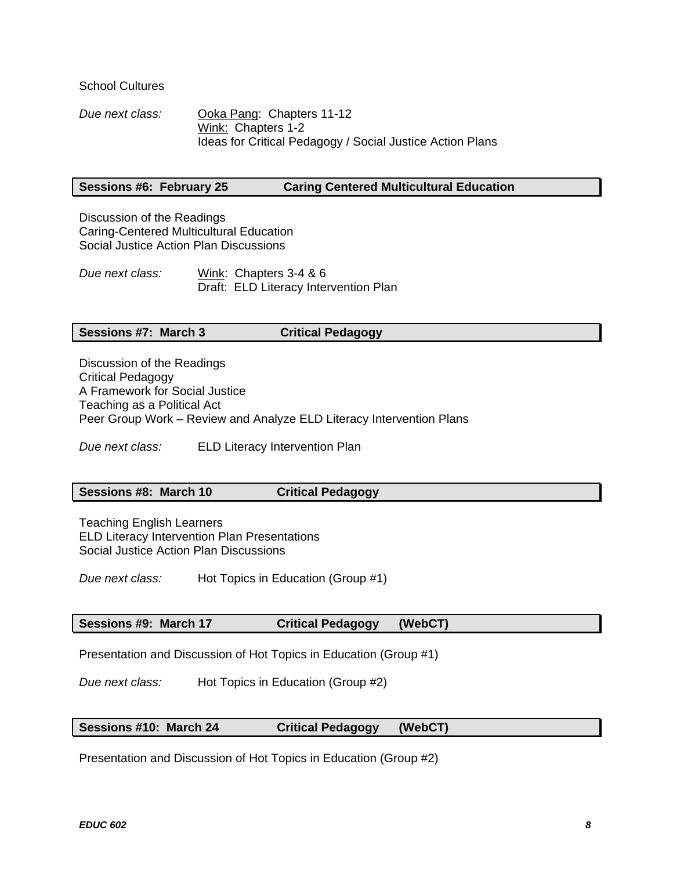School Cultures

*Due next class:* Ooka Pang: Chapters 11-12 Wink: Chapters 1-2 Ideas for Critical Pedagogy / Social Justice Action Plans

# **Sessions #6: February 25 Caring Centered Multicultural Education**

Discussion of the Readings Caring-Centered Multicultural Education Social Justice Action Plan Discussions

*Due next class:* Wink: Chapters 3-4 & 6 Draft: ELD Literacy Intervention Plan

### **Sessions #7: March 3 Critical Pedagogy**

Discussion of the Readings Critical Pedagogy A Framework for Social Justice Teaching as a Political Act Peer Group Work – Review and Analyze ELD Literacy Intervention Plans

*Due next class:* ELD Literacy Intervention Plan

# **Sessions #8: March 10 Critical Pedagogy**

Teaching English Learners ELD Literacy Intervention Plan Presentations Social Justice Action Plan Discussions

*Due next class:* Hot Topics in Education (Group #1)

# **Sessions #9: March 17 Critical Pedagogy (WebCT)**

Presentation and Discussion of Hot Topics in Education (Group #1)

*Due next class:* Hot Topics in Education (Group #2)

# **Sessions #10: March 24 Critical Pedagogy (WebCT)**

Presentation and Discussion of Hot Topics in Education (Group #2)